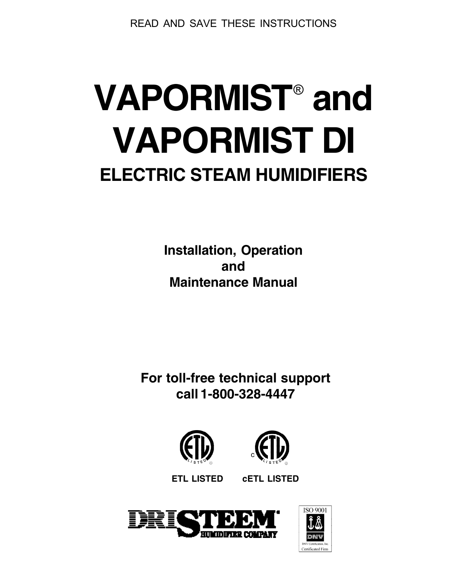READ AND SAVE THESE INSTRUCTIONS

# **VAPORMIST**®  **and VAPORMIST DI ELECTRIC STEAM HUMIDIFIERS**

**Installation, Operation and Maintenance Manual**

**For toll-free technical support call 1-800-328-4447**





**ETL LISTED cETL LISTED**



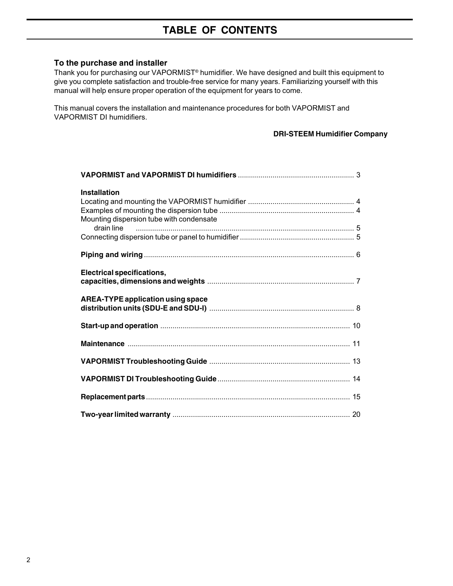# **TABLE OF CONTENTS**

#### **To the purchase and installer**

Thank you for purchasing our VAPORMIST® humidifier. We have designed and built this equipment to give you complete satisfaction and trouble-free service for many years. Familiarizing yourself with this manual will help ensure proper operation of the equipment for years to come.

This manual covers the installation and maintenance procedures for both VAPORMIST and VAPORMIST DI humidifiers.

#### **DRI-STEEM Humidifier Company**

| <b>Installation</b>                      |
|------------------------------------------|
| Mounting dispersion tube with condensate |
|                                          |
|                                          |
| <b>Electrical specifications,</b>        |
| <b>AREA-TYPE application using space</b> |
|                                          |
|                                          |
|                                          |
|                                          |
|                                          |
|                                          |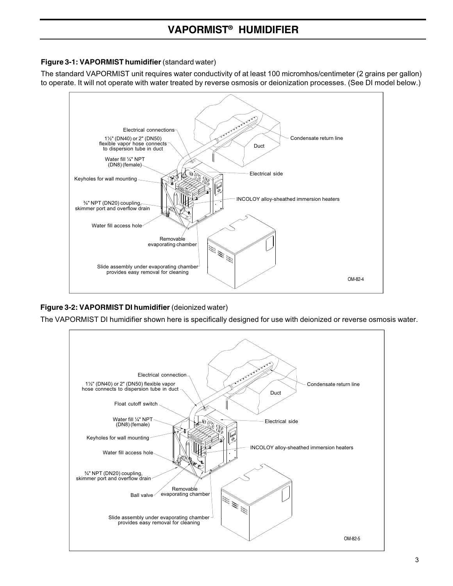# **VAPORMIST® HUMIDIFIER**

#### **Figure 3-1: VAPORMIST humidifier** (standard water)

The standard VAPORMIST unit requires water conductivity of at least 100 micromhos/centimeter (2 grains per gallon) to operate. It will not operate with water treated by reverse osmosis or deionization processes. (See DI model below.)



#### **Figure 3-2: VAPORMIST DI humidifier** (deionized water)

The VAPORMIST DI humidifier shown here is specifically designed for use with deionized or reverse osmosis water.

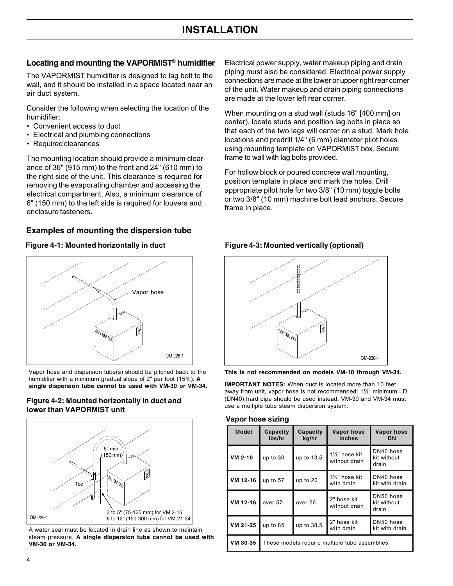# **INSTALLATION**

#### **Locating and mounting the VAPORMIST® humidifier**

The VAPORMIST humidifier is designed to lag bolt to the wall, and it should be installed in a space located near an air duct system.

Consider the following when selecting the location of the humidifier:

- Convenient access to duct
- Electrical and plumbing connections
- Required clearances

The mounting location should provide a minimum clearance of 36" (915 mm) to the front and 24" (610 mm) to the right side of the unit. This clearance is required for removing the evaporating chamber and accessing the electrical compartment. Also, a minimum clearance of 6" (150 mm) to the left side is required for louvers and enclosure fasteners.

#### **Examples of mounting the dispersion tube**

#### **Figure 4-1: Mounted horizontally in duct**



Vapor hose and dispersion tube(s) should be pitched back to the humidifier with a minimum gradual slope of 2" per foot (15%). **A single dispersion tube cannot be used with VM-30 or VM-34.**

#### **Figure 4-2: Mounted horizontally in duct and lower than VAPORMIST unit**



A water seal must be located in drain line as shown to maintain steam pressure. **A single dispersion tube cannot be used with VM-30 or VM-34.**

Electrical power supply, water makeup piping and drain piping must also be considered. Electrical power supply connections are made at the lower or upper right rear corner of the unit. Water makeup and drain piping connections are made at the lower left rear corner.

When mounting on a stud wall (studs 16" [400 mm] on center), locate studs and position lag bolts in place so that each of the two lags will center on a stud. Mark hole locations and predrill 1/4" (6 mm) diameter pilot holes using mounting template on VAPORMIST box. Secure frame to wall with lag bolts provided.

For hollow block or poured concrete wall mounting, position template in place and mark the holes. Drill appropriate pilot hole for two 3/8" (10 mm) toggle bolts or two 3/8" (10 mm) machine bolt lead anchors. Secure frame in place.

#### **Figure 4-3: Mounted vertically (optional)**



**This is not recommended on models VM-10 through VM-34.**

**IMPORTANT NOTES:** When duct is located more than 10 feet away from unit, vapor hose is not recommended; 1½" minimum I.D. (DN40) hard pipe should be used instead. VM-30 and VM-34 must use a multiple tube steam dispersion system.

#### **Vapor hose sizing**

| <b>Model</b> | Capacity                                       | Capacity | Vapor hose                    | Vapor hose                        |  |
|--------------|------------------------------------------------|----------|-------------------------------|-----------------------------------|--|
|              | lbs/hr                                         | kg/hr    | inches                        | DN                                |  |
| VM 2-10      | up to 13.5<br>up to 30                         |          | 1%" hose kit<br>without drain | DN40 hose<br>kit without<br>drain |  |
| VM 12-16     | up to 26                                       |          | 1%" hose kit                  | DN40 hose                         |  |
|              | up to 57                                       |          | with drain                    | kit with drain                    |  |
| VM 12-16     | over 26<br>over 57                             |          | 2" hose kit<br>without drain  | DN50 hose<br>kit without<br>drain |  |
| VM 21-25     | up to 38.5                                     |          | 2" hose kit                   | DN50 hose                         |  |
|              | up to $85$                                     |          | with drain                    | kit with drain                    |  |
| VM 30-35     | These models require multiple tube assemblies. |          |                               |                                   |  |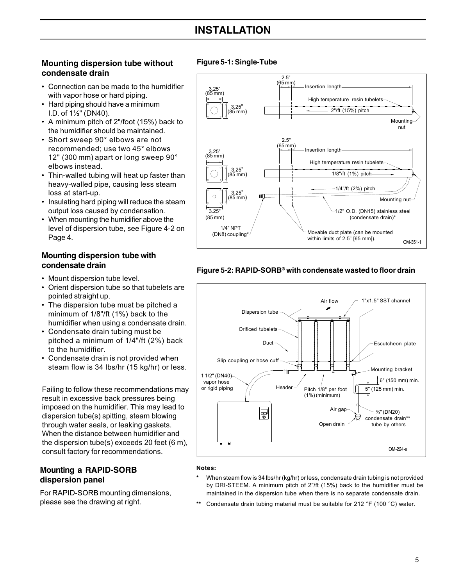# **INSTALLATION**

#### **Mounting dispersion tube without Figure 5-1: Single-Tube condensate drain**

- Connection can be made to the humidifier with vapor hose or hard piping.
- Hard piping should have a minimum I.D. of 1½" (DN40).
- A minimum pitch of 2"/foot (15%) back to the humidifier should be maintained.
- Short sweep 90° elbows are not recommended; use two 45° elbows 12" (300 mm) apart or long sweep 90° elbows instead.
- Thin-walled tubing will heat up faster than heavy-walled pipe, causing less steam loss at start-up.
- Insulating hard piping will reduce the steam output loss caused by condensation.
- When mounting the humidifier above the level of dispersion tube, see Figure 4-2 on Page 4.

#### **Mounting dispersion tube with condensate drain**

- Mount dispersion tube level.
- Orient dispersion tube so that tubelets are pointed straight up.
- The dispersion tube must be pitched a minimum of 1/8"/ft (1%) back to the humidifier when using a condensate drain.
- Condensate drain tubing must be pitched a minimum of 1/4"/ft (2%) back to the humidifier.
- Condensate drain is not provided when steam flow is 34 lbs/hr (15 kg/hr) or less.

Failing to follow these recommendations may  $\int$  or rigid piping result in excessive back pressures being imposed on the humidifier. This may lead to dispersion tube(s) spitting, steam blowing through water seals, or leaking gaskets. When the distance between humidifier and the dispersion tube(s) exceeds 20 feet (6 m), consult factory for recommendations.

#### **Mounting a RAPID-SORB dispersion panel**

For RAPID-SORB mounting dimensions, please see the drawing at right.



#### **Figure 5-2: RAPID-SORB® with condensate wasted to floor drain**



#### **Notes:**

- **\*** When steam flow is 34 lbs/hr (kg/hr) or less, condensate drain tubing is not provided by DRI-STEEM. A minimum pitch of 2"/ft (15%) back to the humidifier must be maintained in the dispersion tube when there is no separate condensate drain.
- **\*\*** Condensate drain tubing material must be suitable for 212 °F (100 °C) water.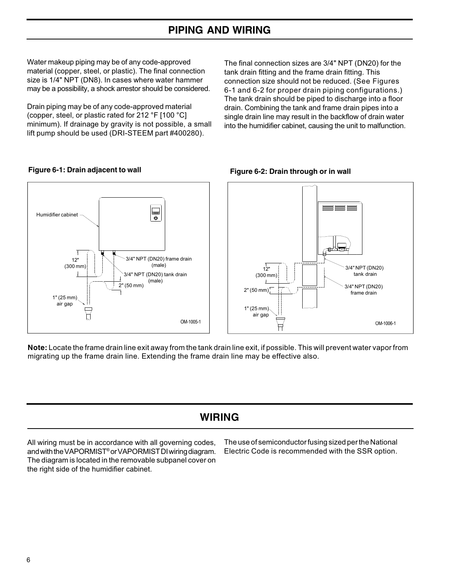# **PIPING AND WIRING**

Water makeup piping may be of any code-approved material (copper, steel, or plastic). The final connection size is 1/4" NPT (DN8). In cases where water hammer may be a possibility, a shock arrestor should be considered.

Drain piping may be of any code-approved material (copper, steel, or plastic rated for 212 °F [100 °C] minimum). If drainage by gravity is not possible, a small lift pump should be used (DRI-STEEM part #400280).

The final connection sizes are 3/4" NPT (DN20) for the tank drain fitting and the frame drain fitting. This connection size should not be reduced. (See Figures 6-1 and 6-2 for proper drain piping configurations.) The tank drain should be piped to discharge into a floor drain. Combining the tank and frame drain pipes into a single drain line may result in the backflow of drain water into the humidifier cabinet, causing the unit to malfunction.



**Figure 6-1: Drain adjacent to wall**

**Note:** Locate the frame drain line exit away from the tank drain line exit, if possible. This will prevent water vapor from migrating up the frame drain line. Extending the frame drain line may be effective also.

# **WIRING**

All wiring must be in accordance with all governing codes, and with the VAPORMIST® or VAPORMIST DI wiring diagram. The diagram is located in the removable subpanel cover on the right side of the humidifier cabinet.

The use of semiconductor fusing sized per the National Electric Code is recommended with the SSR option.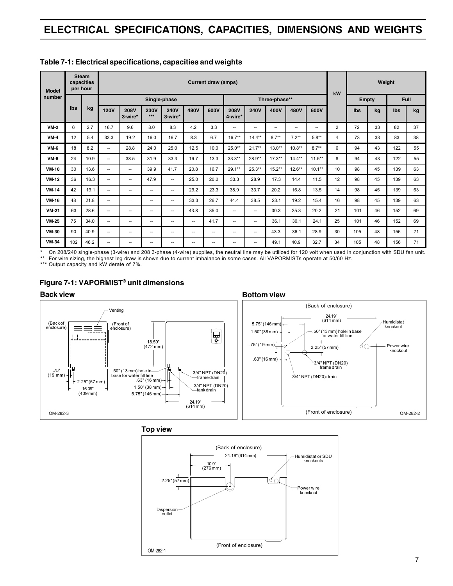# **ELECTRICAL SPECIFICATIONS, CAPACITIES, DIMENSIONS AND WEIGHTS**

| <b>Model</b> |     | <b>Steam</b><br>capacities<br>per hour | <b>Current draw (amps)</b> |                        |                          |                           |      |                          | kW                       | Weight                   |                          |                          |           |                |              |    |            |      |
|--------------|-----|----------------------------------------|----------------------------|------------------------|--------------------------|---------------------------|------|--------------------------|--------------------------|--------------------------|--------------------------|--------------------------|-----------|----------------|--------------|----|------------|------|
| number       |     |                                        |                            |                        |                          | Single-phase              |      |                          |                          |                          | Three-phase**            |                          |           |                | <b>Empty</b> |    |            | Full |
|              | Ibs | kg                                     | <b>120V</b>                | <b>208V</b><br>3-wire* | <b>230V</b><br>$***$     | <b>240V</b><br>$3$ -wire* | 480V | 600V                     | <b>208V</b><br>4-wire*   | <b>240V</b>              | 400V                     | 480V                     | 600V      |                | Ibs          | kg | <b>Ibs</b> | kg   |
| $VM-2$       | 6   | 2.7                                    | 16.7                       | 9.6                    | 8.0                      | 8.3                       | 4.2  | 3.3                      | $\overline{\phantom{a}}$ | $\overline{\phantom{a}}$ | $\overline{\phantom{a}}$ | $\overline{\phantom{a}}$ | --        | $\overline{2}$ | 72           | 33 | 82         | 37   |
| $VM-4$       | 12  | 5.4                                    | 33.3                       | 19.2                   | 16.0                     | 16.7                      | 8.3  | 6.7                      | $16.7**$                 | $14.4***$                | $8.7***$                 | $7.2***$                 | $5.8**$   | 4              | 73           | 33 | 83         | 38   |
| <b>VM-6</b>  | 18  | 8.2                                    | $\overline{\phantom{a}}$   | 28.8                   | 24.0                     | 25.0                      | 12.5 | 10.0                     | 25.0**                   | $21.7**$                 | $13.0**$                 | $10.8**$                 | $8.7**$   | 6              | 94           | 43 | 122        | 55   |
| $VM-8$       | 24  | 10.9                                   | $\overline{\phantom{a}}$   | 38.5                   | 31.9                     | 33.3                      | 16.7 | 13.3                     | $33.3***$                | 28.9**                   | $17.3***$                | $14.4***$                | $11.5***$ | 8              | 94           | 43 | 122        | 55   |
| <b>VM-10</b> | 30  | 13.6                                   | $\overline{a}$             | --                     | 39.9                     | 41.7                      | 20.8 | 16.7                     | $29.1***$                | $25.3***$                | $15.2***$                | $12.6***$                | $10.1***$ | 10             | 98           | 45 | 139        | 63   |
| $VM-12$      | 36  | 16.3                                   | $\overline{a}$             | --                     | 47.9                     | $\overline{\phantom{a}}$  | 25.0 | 20.0                     | 33.3                     | 28.9                     | 17.3                     | 14.4                     | 11.5      | 12             | 98           | 45 | 139        | 63   |
| $VM-14$      | 42  | 19.1                                   | $\overline{\phantom{a}}$   | --                     | $\overline{\phantom{a}}$ | $\overline{\phantom{a}}$  | 29.2 | 23.3                     | 38.9                     | 33.7                     | 20.2                     | 16.8                     | 13.5      | 14             | 98           | 45 | 139        | 63   |
| <b>VM-16</b> | 48  | 21.8                                   | $\overline{\phantom{a}}$   | $\overline{a}$         | $\overline{\phantom{a}}$ | $\overline{\phantom{a}}$  | 33.3 | 26.7                     | 44.4                     | 38.5                     | 23.1                     | 19.2                     | 15.4      | 16             | 98           | 45 | 139        | 63   |
| <b>VM-21</b> | 63  | 28.6                                   | $\overline{a}$             | --                     | $\overline{\phantom{a}}$ | $\overline{\phantom{a}}$  | 43.8 | 35.0                     | $\overline{\phantom{a}}$ | $\overline{\phantom{a}}$ | 30.3                     | 25.3                     | 20.2      | 21             | 101          | 46 | 152        | 69   |
| <b>VM-25</b> | 75  | 34.0                                   | $\overline{\phantom{a}}$   | --                     | $\overline{\phantom{a}}$ | $\overline{\phantom{a}}$  | --   | 41.7                     | $\overline{\phantom{a}}$ | $\overline{\phantom{a}}$ | 36.1                     | 30.1                     | 24.1      | 25             | 101          | 46 | 152        | 69   |
| <b>VM-30</b> | 90  | 40.9                                   | $\overline{\phantom{a}}$   | --                     | $\overline{\phantom{a}}$ | $\overline{\phantom{a}}$  | --   | $\overline{\phantom{a}}$ | -                        | $\overline{\phantom{a}}$ | 43.3                     | 36.1                     | 28.9      | 30             | 105          | 48 | 156        | 71   |
| <b>VM-34</b> | 102 | 46.2                                   | $\overline{a}$             | --                     | $\overline{\phantom{a}}$ | $\overline{\phantom{a}}$  | --   | $\overline{\phantom{a}}$ | $\overline{\phantom{a}}$ | $\overline{\phantom{a}}$ | 49.1                     | 40.9                     | 32.7      | 34             | 105          | 48 | 156        | 71   |

#### **Table 7-1: Electrical specifications, capacities and weights**

\* On 208/240 single-phase (3-wire) and 208 3-phase (4-wire) supplies, the neutral line may be utilized for 120 volt when used in conjunction with SDU fan unit. \*\* For wire sizing, the highest leg draw is shown due to current imbalance in some cases. All VAPORMISTs operate at 50/60 Hz.

\*\*\* Output capacity and kW derate of 7%.



#### **Figure 7-1: VAPORMIST® unit dimensions**

**Top view**

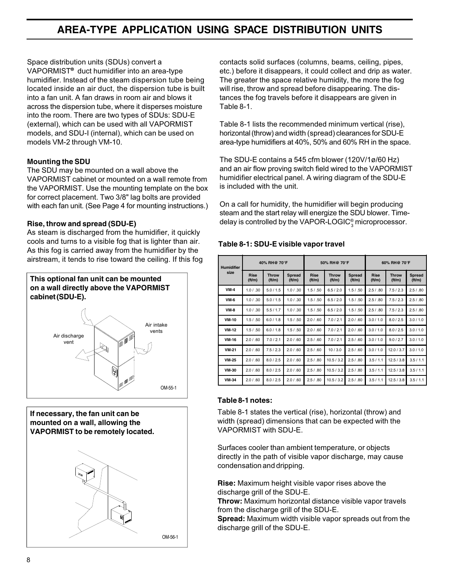# **AREA-TYPE APPLICATION USING SPACE DISTRIBUTION UNITS**

Space distribution units (SDUs) convert a VAPORMIST**®** duct humidifier into an area-type humidifier. Instead of the steam dispersion tube being located inside an air duct, the dispersion tube is built into a fan unit. A fan draws in room air and blows it across the dispersion tube, where it disperses moisture into the room. There are two types of SDUs: SDU-E (external), which can be used with all VAPORMIST models, and SDU-I (internal), which can be used on models VM-2 through VM-10.

#### **Mounting the SDU**

The SDU may be mounted on a wall above the VAPORMIST cabinet or mounted on a wall remote from the VAPORMIST. Use the mounting template on the box for correct placement. Two 3/8" lag bolts are provided with each fan unit. (See Page 4 for mounting instructions.)

#### **Rise, throw and spread (SDU-E)**

As steam is discharged from the humidifier, it quickly cools and turns to a visible fog that is lighter than air. As this fog is carried away from the humidifier by the airstream, it tends to rise toward the ceiling. If this fog



**If necessary, the fan unit can be mounted on a wall, allowing the VAPORMIST to be remotely located.**



contacts solid surfaces (columns, beams, ceiling, pipes, etc.) before it disappears, it could collect and drip as water. The greater the space relative humidity, the more the fog will rise, throw and spread before disappearing. The distances the fog travels before it disappears are given in Table 8-1.

Table 8-1 lists the recommended minimum vertical (rise), horizontal (throw) and width (spread) clearances for SDU-E area-type humidifiers at 40%, 50% and 60% RH in the space.

The SDU-E contains a 545 cfm blower (120V/1ø/60 Hz) and an air flow proving switch field wired to the VAPORMIST humidifier electrical panel. A wiring diagram of the SDU-E is included with the unit.

On a call for humidity, the humidifier will begin producing steam and the start relay will energize the SDU blower. Timedelay is controlled by the VAPOR-LOGIC $_{3}^{\circ}$ microprocessor.

#### **Table 8-1: SDU-E visible vapor travel**

| <b>Humidifier</b> | 40% RH@ 70°F         |                       |                        |                      | 50% RH@ 70°F          |                        | 60% RH@ 70°F         |                       |                                 |  |
|-------------------|----------------------|-----------------------|------------------------|----------------------|-----------------------|------------------------|----------------------|-----------------------|---------------------------------|--|
| size              | <b>Rise</b><br>ft/m) | <b>Throw</b><br>ft/m) | <b>Spread</b><br>ft/m) | <b>Rise</b><br>ft/m) | <b>Throw</b><br>ft/m) | <b>Spread</b><br>ft/m) | <b>Rise</b><br>ft/m) | <b>Throw</b><br>ft/m) | <b>Spread</b><br>$({\rm ft/m})$ |  |
| $VM-4$            | 1.0 / .30            | 5.0 / 1.5             | 1.0 / .30              | 1.5 / .50            | 6.5/2.0               | 1.5 / .50              | 2.5 / .80            | 7.5/2.3               | 2.5 / .80                       |  |
| <b>VM-6</b>       | 1.0 / .30            | 5.0 / 1.5             | 1.0 / .30              | 1.5 / .50            | 6.5/2.0               | 1.5 / .50              | 2.5 / .80            | 7.5/2.3               | 2.5 / .80                       |  |
| $VM-8$            | 1.0 / .30            | 5.5/1.7               | 1.0 / .30              | 1.5 / .50            | 6.5/2.0               | 1.5 / .50              | 2.5/0.80             | 7.5/2.3               | 2.5 / .80                       |  |
| <b>VM-10</b>      | 1.5 / .50            | 6.0 / 1.8             | 1.5 / .50              | 2.0 / .60            | 7.0/2.1               | 2.0 / .60              | 3.0/1.0              | 8.0/2.5               | 3.0/1.0                         |  |
| <b>VM-12</b>      | 1.5 / .50            | 6.0 / 1.8             | 1.5 / .50              | 2.0 / .60            | 7.0/2.1               | 2.0 / .60              | 3.0 / 1.0            | 8.0 / 2.5             | 3.0 / 1.0                       |  |
| <b>VM-16</b>      | 2.0 / .60            | 7.0 / 2.1             | 2.0 / .60              | 2.5 / .60            | 7.0/2.1               | 2.5 / .60              | 3.0/1.0              | 9.0 / 2.7             | 3.0/1.0                         |  |
| <b>VM 21</b>      | 2.0 / .60            | 7.5/2.3               | 2.0 / .60              | 2.5/0.60             | 10/3.0                | 2.5 / .60              | 3.0 / 1.0            | 12.0 / 3.7            | 3.0 / 1.0                       |  |
| <b>VM-25</b>      | 2.0 / .60            | 8.0 / 2.5             | 2.0 / .60              | 2.5 / .80            | 10.5 / 3.2            | 2.5 / .80              | 3.5/1.1              | 12.5/3.8              | 3.5/1.1                         |  |
| <b>VM-30</b>      | 2.0 / .60            | 8.0 / 2.5             | 2.0 / .60              | 2.5 / .80            | 10.5 / 3.2            | 2.5 / .80              | 3.5/1.1              | 12.5/3.8              | 3.5/1.1                         |  |
| <b>VM-34</b>      | 2.0 / .60            | 8.0 / 2.5             | 2.0 / .60              | 2.5 / .80            | 10.5/3.2              | 2.5 / .80              | 3.5/1.1              | 12.5/3.8              | 3.5/1.1                         |  |

#### **Table 8-1 notes:**

Table 8-1 states the vertical (rise), horizontal (throw) and width (spread) dimensions that can be expected with the VAPORMIST with SDU-E.

Surfaces cooler than ambient temperature, or objects directly in the path of visible vapor discharge, may cause condensation and dripping.

**Rise:** Maximum height visible vapor rises above the discharge grill of the SDU-E.

**Throw:** Maximum horizontal distance visible vapor travels from the discharge grill of the SDU-E.

**Spread:** Maximum width visible vapor spreads out from the discharge grill of the SDU-E.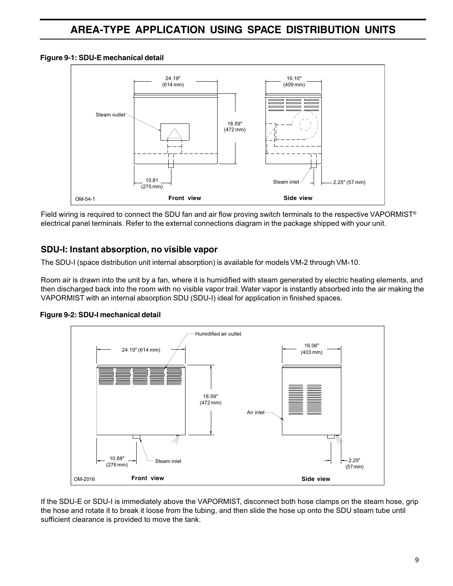#### **Figure 9-1: SDU-E mechanical detail**



Field wiring is required to connect the SDU fan and air flow proving switch terminals to the respective VAPORMIST<sup>®</sup> electrical panel terminals. Refer to the external connections diagram in the package shipped with your unit.

### **SDU-I: Instant absorption, no visible vapor**

The SDU-I (space distribution unit internal absorption) is available for models VM-2 through VM-10.

Room air is drawn into the unit by a fan, where it is humidified with steam generated by electric heating elements, and then discharged back into the room with no visible vapor trail. Water vapor is instantly absorbed into the air making the VAPORMIST with an internal absorption SDU (SDU-I) ideal for application in finished spaces.



#### **Figure 9-2: SDU-I mechanical detail**

If the SDU-E or SDU-I is immediately above the VAPORMIST, disconnect both hose clamps on the steam hose, grip the hose and rotate it to break it loose from the tubing, and then slide the hose up onto the SDU steam tube until sufficient clearance is provided to move the tank.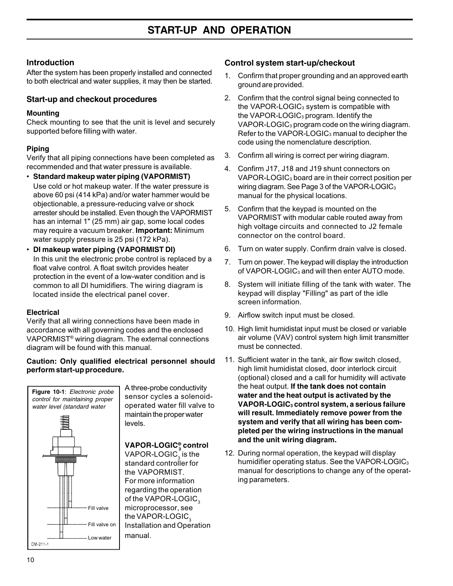#### **Introduction**

After the system has been properly installed and connected to both electrical and water supplies, it may then be started.

#### **Start-up and checkout procedures**

#### **Mounting**

Check mounting to see that the unit is level and securely supported before filling with water.

#### **Piping**

Verify that all piping connections have been completed as recommended and that water pressure is available.

- **Standard makeup water piping (VAPORMIST)** Use cold or hot makeup water. If the water pressure is above 60 psi (414 kPa) and/or water hammer would be objectionable, a pressure-reducing valve or shock arrester should be installed. Even though the VAPORMIST has an internal 1" (25 mm) air gap, some local codes may require a vacuum breaker. **Important:** Minimum water supply pressure is 25 psi (172 kPa).
- **DI makeup water piping (VAPORMIST DI)** In this unit the electronic probe control is replaced by a float valve control. A float switch provides heater protection in the event of a low-water condition and is common to all DI humidifiers. The wiring diagram is located inside the electrical panel cover.

#### **Electrical**

Verify that all wiring connections have been made in accordance with all governing codes and the enclosed VAPORMIST® wiring diagram. The external connections diagram will be found with this manual.

#### **Caution: Only qualified electrical personnel should perform start-up procedure.**



A three-probe conductivity sensor cycles a solenoidoperated water fill valve to maintain the proper water levels.

# **VAPOR-LOGIC® <sup>3</sup> control**

VAPOR-LOGIC $_{\scriptscriptstyle{3}}$  is the standard controller for the VAPORMIST. For more information regarding the operation of the VAPOR-LOGIC<sub>3</sub> microprocessor, see the VAPOR-LOGIC $_3$ Installation and Operation manual.

#### **Control system start-up/checkout**

- 1. Confirm that proper grounding and an approved earth ground are provided.
- 2. Confirm that the control signal being connected to the VAPOR-LOGIC<sub>3</sub> system is compatible with the VAPOR-LOGIC3 program. Identify the VAPOR-LOGIC3 program code on the wiring diagram. Refer to the VAPOR-LOGIC<sub>3</sub> manual to decipher the code using the nomenclature description.
- 3. Confirm all wiring is correct per wiring diagram.
- 4. Confirm J17, J18 and J19 shunt connectors on VAPOR-LOGIC3 board are in their correct position per wiring diagram. See Page 3 of the VAPOR-LOGIC3 manual for the physical locations.
- 5. Confirm that the keypad is mounted on the VAPORMIST with modular cable routed away from high voltage circuits and connected to J2 female connector on the control board.
- 6. Turn on water supply. Confirm drain valve is closed.
- 7. Turn on power. The keypad will display the introduction of VAPOR-LOGIC<sub>3</sub> and will then enter AUTO mode.
- 8. System will initiate filling of the tank with water. The keypad will display "Filling" as part of the idle screen information.
- 9. Airflow switch input must be closed.
- 10. High limit humidistat input must be closed or variable air volume (VAV) control system high limit transmitter must be connected.
- 11. Sufficient water in the tank, air flow switch closed, high limit humidistat closed, door interlock circuit (optional) closed and a call for humidity will activate the heat output. **If the tank does not contain water and the heat output is activated by the VAPOR-LOGIC3 control system, a serious failure will result. Immediately remove power from the system and verify that all wiring has been completed per the wiring instructions in the manual and the unit wiring diagram.**
- 12. During normal operation, the keypad will display humidifier operating status. See the VAPOR-LOGIC3 manual for descriptions to change any of the operating parameters.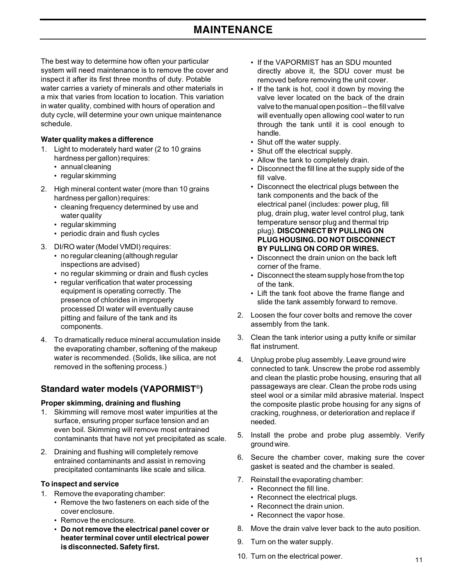# **MAINTENANCE**

The best way to determine how often your particular system will need maintenance is to remove the cover and inspect it after its first three months of duty. Potable water carries a variety of minerals and other materials in a mix that varies from location to location. This variation in water quality, combined with hours of operation and duty cycle, will determine your own unique maintenance schedule.

#### **Water quality makes a difference**

- 1. Light to moderately hard water (2 to 10 grains hardness per gallon) requires:
	- annual cleaning
	- regular skimming
- 2. High mineral content water (more than 10 grains hardness per gallon) requires:
	- cleaning frequency determined by use and water quality
	- regular skimming
	- periodic drain and flush cycles
- 3. DI/RO water (Model VMDI) requires:
	- no regular cleaning (although regular inspections are advised)
	- no regular skimming or drain and flush cycles
	- regular verification that water processing equipment is operating correctly. The presence of chlorides in improperly processed DI water will eventually cause pitting and failure of the tank and its components.
- 4. To dramatically reduce mineral accumulation inside the evaporating chamber, softening of the makeup water is recommended. (Solids, like silica, are not removed in the softening process.)

#### **Standard water models (VAPORMIST**®**)**

#### **Proper skimming, draining and flushing**

- 1. Skimming will remove most water impurities at the surface, ensuring proper surface tension and an even boil. Skimming will remove most entrained contaminants that have not yet precipitated as scale.
- 2. Draining and flushing will completely remove entrained contaminants and assist in removing precipitated contaminants like scale and silica.

#### **To inspect and service**

- 1. Remove the evaporating chamber:
	- Remove the two fasteners on each side of the cover enclosure.
	- Remove the enclosure.
	- **Do not remove the electrical panel cover or heater terminal cover until electrical power is disconnected. Safety first.**
- If the VAPORMIST has an SDU mounted directly above it, the SDU cover must be removed before removing the unit cover.
- If the tank is hot, cool it down by moving the valve lever located on the back of the drain valve to the manual open position – the fill valve will eventually open allowing cool water to run through the tank until it is cool enough to handle.
- Shut off the water supply.
- Shut off the electrical supply.
- Allow the tank to completely drain.
- Disconnect the fill line at the supply side of the fill valve.
- Disconnect the electrical plugs between the tank components and the back of the electrical panel (includes: power plug, fill plug, drain plug, water level control plug, tank temperature sensor plug and thermal trip plug). **DISCONNECT BY PULLING ON PLUG HOUSING. DO NOT DISCONNECT BY PULLING ON CORD OR WIRES.**
- Disconnect the drain union on the back left corner of the frame.
- Disconnect the steam supply hose from the top of the tank.
- Lift the tank foot above the frame flange and slide the tank assembly forward to remove.
- 2. Loosen the four cover bolts and remove the cover assembly from the tank.
- 3. Clean the tank interior using a putty knife or similar flat instrument.
- 4. Unplug probe plug assembly. Leave ground wire connected to tank. Unscrew the probe rod assembly and clean the plastic probe housing, ensuring that all passageways are clear. Clean the probe rods using steel wool or a similar mild abrasive material. Inspect the composite plastic probe housing for any signs of cracking, roughness, or deterioration and replace if needed.
- 5. Install the probe and probe plug assembly. Verify ground wire.
- 6. Secure the chamber cover, making sure the cover gasket is seated and the chamber is sealed.
- 7. Reinstall the evaporating chamber:
	- Reconnect the fill line.
	- Reconnect the electrical plugs.
	- Reconnect the drain union.
	- Reconnect the vapor hose.
- 8. Move the drain valve lever back to the auto position.
- 9. Turn on the water supply.
- 10. Turn on the electrical power.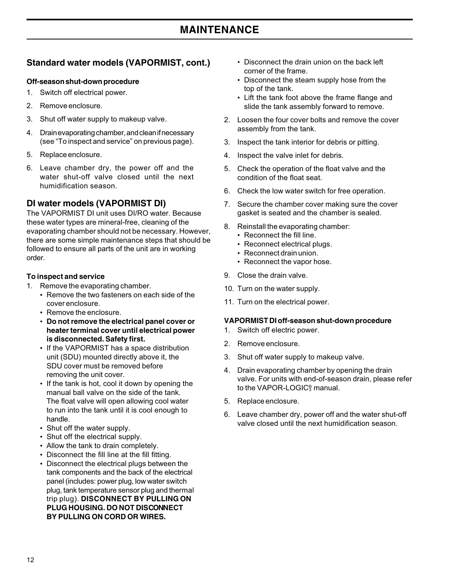# **MAINTENANCE**

## **Standard water models (VAPORMIST, cont.)**

#### **Off-season shut-down procedure**

- 1. Switch off electrical power.
- 2. Remove enclosure.
- 3. Shut off water supply to makeup valve.
- 4. Drain evaporating chamber, and clean if necessary (see "To inspect and service" on previous page).
- 5. Replace enclosure.
- 6. Leave chamber dry, the power off and the water shut-off valve closed until the next humidification season.

#### **DI water models (VAPORMIST DI)**

The VAPORMIST DI unit uses DI/RO water. Because these water types are mineral-free, cleaning of the evaporating chamber should not be necessary. However, there are some simple maintenance steps that should be followed to ensure all parts of the unit are in working order.

#### **To inspect and service**

- 1. Remove the evaporating chamber.
	- Remove the two fasteners on each side of the cover enclosure.
	- Remove the enclosure.
	- **Do not remove the electrical panel cover or heater terminal cover until electrical power is disconnected. Safety first.**
	- If the VAPORMIST has a space distribution unit (SDU) mounted directly above it, the SDU cover must be removed before removing the unit cover.
	- If the tank is hot, cool it down by opening the manual ball valve on the side of the tank. The float valve will open allowing cool water to run into the tank until it is cool enough to handle.
	- Shut off the water supply.
	- Shut off the electrical supply.
	- Allow the tank to drain completely.
	- Disconnect the fill line at the fill fitting.
	- Disconnect the electrical plugs between the tank components and the back of the electrical panel (includes: power plug, low water switch plug, tank temperature sensor plug and thermal trip plug). **DISCONNECT BY PULLING ON PLUG HOUSING. DO NOT DISCONNECT BY PULLING ON CORD OR WIRES.**
- Disconnect the drain union on the back left corner of the frame.
- Disconnect the steam supply hose from the top of the tank.
- Lift the tank foot above the frame flange and slide the tank assembly forward to remove.
- 2. Loosen the four cover bolts and remove the cover assembly from the tank.
- 3. Inspect the tank interior for debris or pitting.
- 4. Inspect the valve inlet for debris.
- 5. Check the operation of the float valve and the condition of the float seat.
- 6. Check the low water switch for free operation.
- 7. Secure the chamber cover making sure the cover gasket is seated and the chamber is sealed.
- 8. Reinstall the evaporating chamber:
	- Reconnect the fill line.
	- Reconnect electrical plugs.
	- Reconnect drain union.
	- Reconnect the vapor hose.
- 9. Close the drain valve.
- 10. Turn on the water supply.
- 11. Turn on the electrical power.

#### **VAPORMIST DI off-season shut-down procedure**

- 1. Switch off electric power.
- 2. Remove enclosure.
- 3. Shut off water supply to makeup valve.
- 4. Drain evaporating chamber by opening the drain valve. For units with end-of-season drain, please refer to the VAPOR-LOGIC® <sup>3</sup> manual.
- 5. Replace enclosure.
- 6. Leave chamber dry, power off and the water shut-off valve closed until the next humidification season.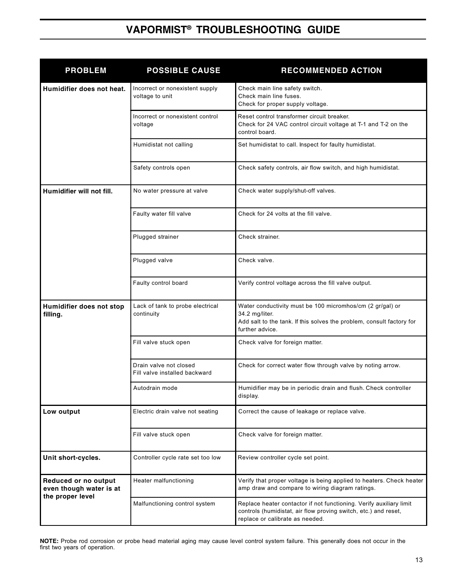# **VAPORMIST® TROUBLESHOOTING GUIDE**

| <b>PROBLEM</b>                                                      | <b>POSSIBLE CAUSE</b>                                   | <b>RECOMMENDED ACTION</b>                                                                                                                                                 |
|---------------------------------------------------------------------|---------------------------------------------------------|---------------------------------------------------------------------------------------------------------------------------------------------------------------------------|
| Humidifier does not heat.                                           | Incorrect or nonexistent supply<br>voltage to unit      | Check main line safety switch.<br>Check main line fuses.<br>Check for proper supply voltage.                                                                              |
|                                                                     | Incorrect or nonexistent control<br>voltage             | Reset control transformer circuit breaker.<br>Check for 24 VAC control circuit voltage at T-1 and T-2 on the<br>control board.                                            |
|                                                                     | Humidistat not calling                                  | Set humidistat to call. Inspect for faulty humidistat.                                                                                                                    |
|                                                                     | Safety controls open                                    | Check safety controls, air flow switch, and high humidistat.                                                                                                              |
| Humidifier will not fill.                                           | No water pressure at valve                              | Check water supply/shut-off valves.                                                                                                                                       |
|                                                                     | Faulty water fill valve                                 | Check for 24 volts at the fill valve.                                                                                                                                     |
|                                                                     | Plugged strainer                                        | Check strainer.                                                                                                                                                           |
|                                                                     | Plugged valve                                           | Check valve.                                                                                                                                                              |
|                                                                     | Faulty control board                                    | Verify control voltage across the fill valve output.                                                                                                                      |
| Humidifier does not stop<br>filling.                                | Lack of tank to probe electrical<br>continuity          | Water conductivity must be 100 micromhos/cm (2 gr/gal) or<br>34.2 mg/liter.<br>Add salt to the tank. If this solves the problem, consult factory for<br>further advice.   |
|                                                                     | Fill valve stuck open                                   | Check valve for foreign matter.                                                                                                                                           |
|                                                                     | Drain valve not closed<br>Fill valve installed backward | Check for correct water flow through valve by noting arrow.                                                                                                               |
|                                                                     | Autodrain mode                                          | Humidifier may be in periodic drain and flush. Check controller<br>display.                                                                                               |
| Low output                                                          | Electric drain valve not seating                        | Correct the cause of leakage or replace valve.                                                                                                                            |
|                                                                     | Fill valve stuck open                                   | Check valve for foreign matter.                                                                                                                                           |
| Unit short-cycles.                                                  | Controller cycle rate set too low                       | Review controller cycle set point.                                                                                                                                        |
| Reduced or no output<br>even though water is at<br>the proper level | Heater malfunctioning                                   | Verify that proper voltage is being applied to heaters. Check heater<br>amp draw and compare to wiring diagram ratings.                                                   |
|                                                                     | Malfunctioning control system                           | Replace heater contactor if not functioning. Verify auxiliary limit<br>controls (humidistat, air flow proving switch, etc.) and reset,<br>replace or calibrate as needed. |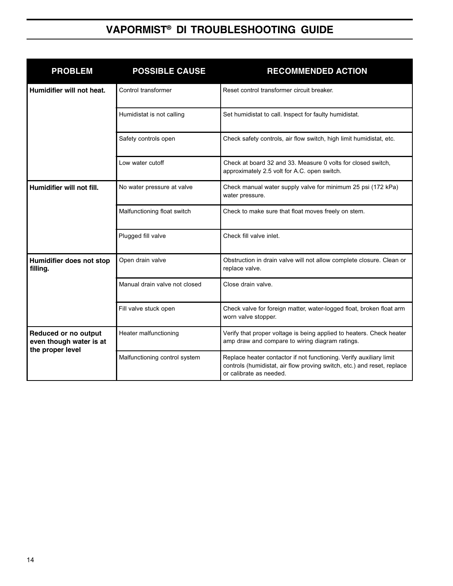# **VAPORMIST® DI TROUBLESHOOTING GUIDE**

| <b>PROBLEM</b>                                                      | <b>POSSIBLE CAUSE</b>         | <b>RECOMMENDED ACTION</b>                                                                                                                                                 |  |  |  |  |
|---------------------------------------------------------------------|-------------------------------|---------------------------------------------------------------------------------------------------------------------------------------------------------------------------|--|--|--|--|
| Humidifier will not heat.                                           | Control transformer           | Reset control transformer circuit breaker.                                                                                                                                |  |  |  |  |
|                                                                     | Humidistat is not calling     | Set humidistat to call. Inspect for faulty humidistat.                                                                                                                    |  |  |  |  |
|                                                                     | Safety controls open          | Check safety controls, air flow switch, high limit humidistat, etc.                                                                                                       |  |  |  |  |
|                                                                     | Low water cutoff              | Check at board 32 and 33. Measure 0 volts for closed switch,<br>approximately 2.5 volt for A.C. open switch.                                                              |  |  |  |  |
| Humidifier will not fill.                                           | No water pressure at valve    | Check manual water supply valve for minimum 25 psi (172 kPa)<br>water pressure.                                                                                           |  |  |  |  |
|                                                                     | Malfunctioning float switch   | Check to make sure that float moves freely on stem.                                                                                                                       |  |  |  |  |
|                                                                     | Plugged fill valve            | Check fill valve inlet.                                                                                                                                                   |  |  |  |  |
| Humidifier does not stop<br>filling.                                | Open drain valve              | Obstruction in drain valve will not allow complete closure. Clean or<br>replace valve.                                                                                    |  |  |  |  |
|                                                                     | Manual drain valve not closed | Close drain valve.                                                                                                                                                        |  |  |  |  |
|                                                                     | Fill valve stuck open         | Check valve for foreign matter, water-logged float, broken float arm<br>worn valve stopper.                                                                               |  |  |  |  |
| Reduced or no output<br>even though water is at<br>the proper level | Heater malfunctioning         | Verify that proper voltage is being applied to heaters. Check heater<br>amp draw and compare to wiring diagram ratings.                                                   |  |  |  |  |
|                                                                     | Malfunctioning control system | Replace heater contactor if not functioning. Verify auxiliary limit<br>controls (humidistat, air flow proving switch, etc.) and reset, replace<br>or calibrate as needed. |  |  |  |  |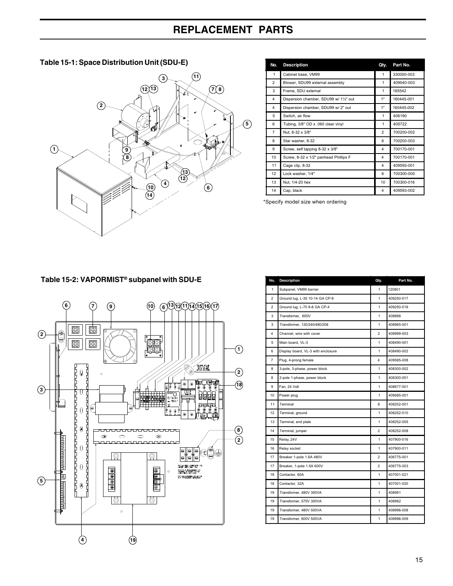#### **Table 15-1: Space Distribution Unit (SDU-E)**



| No.            | <b>Description</b>                     | Qty.           | Part No.   |
|----------------|----------------------------------------|----------------|------------|
| 1              | Cabinet base, VM99                     | 1              | 330000-003 |
| $\overline{2}$ | Blower, SDU99 external assembly        | 1              | 409540-003 |
| 3              | Frame, SDU external                    | 1              | 165542     |
| $\overline{4}$ | Dispersion chamber, SDU99 w/ 11/2" out | $1^*$          | 160445-001 |
| 4              | Dispersion chamber, SDU99 w/ 2" out    | $1^*$          | 160445-002 |
| 5              | Switch, air flow                       | 1              | 406190     |
| 6              | Tubing, 3/8" OD x .060 clear vinyl     | 1              | 405722     |
| $\overline{7}$ | Nut, 8-32 x 3/8"                       | $\overline{2}$ | 700200-002 |
| 8              | Star washer, 8-32                      | 6              | 700200-003 |
| 9              | Screw, self tapping 8-32 x 3/8"        | 4              | 700170-001 |
| 10             | Screw, 8-32 x 1/2" panhead Phillips F  | 4              | 700170-001 |
| 11             | Cage clip, 8-32                        | 4              | 409593-001 |
| 12             | Lock washer, 1/4"                      | 6              | 700300-005 |
| 13             | Nut, 1/4-20 hex                        | 10             | 700300-016 |
| 14             | Cap, black                             | 4              | 409593-002 |

\*Specify model size when ordering

#### **Table 15-2: VAPORMIST® subpanel with SDU-E**



| No.            | <b>Description</b>                 | Qty.           | Part No.   |
|----------------|------------------------------------|----------------|------------|
| 1              | Subpanel, VM99 barrier             | 1              | 120801     |
| $\overline{2}$ | Ground lug, L-35 10-14 GA CP-8     | $\mathbf{1}$   | 409250-017 |
| $\overline{2}$ | Ground lug, L-70 6-8 GA CP-4       | 1              | 409250-018 |
| 3              | Transformer, 600V                  | 1              | 408896     |
| 3              | Transformer, 120/240/480/208       | 1              | 408965-001 |
| 4              | Channel, wire with cover           | $\overline{2}$ | 408999-003 |
| 5              | Main board, VL-3                   | 1              | 408490-001 |
| 6              | Display board, VL-3 with enclosure | 1              | 408490-002 |
| $\overline{7}$ | Plug, 4-prong female               | 4              | 409585-008 |
| 8              | 3-pole, 3-phase, power block       | 1              | 408300-002 |
| 8              | 2-pole 1-phase, power block        | 1              | 408300-001 |
| 9              | Fan, 24 Volt                       | 1              | 408677-001 |
| 10             | Power plug                         | 1              | 409585-001 |
| 11             | Terminal                           | 8              | 408252-001 |
| 12             | Terminal, ground                   | 1              | 408252-010 |
| 13             | Terminal, end plate                | $\mathbf{1}$   | 408252-005 |
| 14             | Terminal, jumper                   | $\overline{2}$ | 408252-008 |
| 15             | Relay, 24V                         | 1              | 407900-016 |
| 16             | Relay socket                       | 1              | 407900-011 |
| 17             | Breaker 1-pole 1.6A 480V           | $\overline{2}$ | 406775-001 |
| 17             | Breaker, 1-pole 1.5A 600V          | $\overline{2}$ | 406775-003 |
| 18             | Contactor, 60A                     | 1              | 407001-021 |
| 18             | Contactor, 32A                     | 1              | 407001-020 |
| 19             | Transformer, 480V 300VA            | 1              | 408991     |
| 19             | Transformer, 575V 300VA            | 1              | 408982     |
| 19             | Transformer, 480V 500VA            | 1              | 408996-008 |
| 19             | Transformer, 600V 500VA            | 1              | 408996-009 |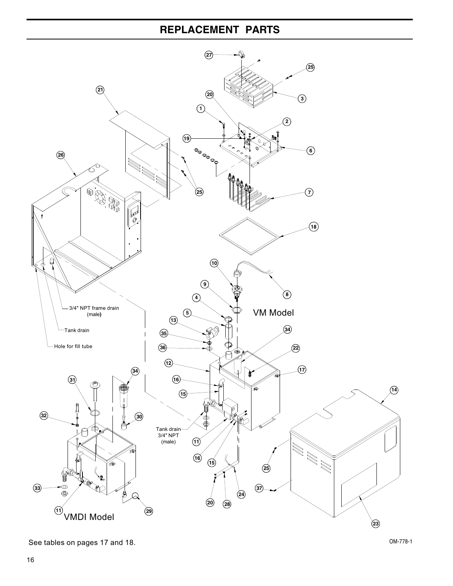

See tables on pages 17 and 18. OM-778-1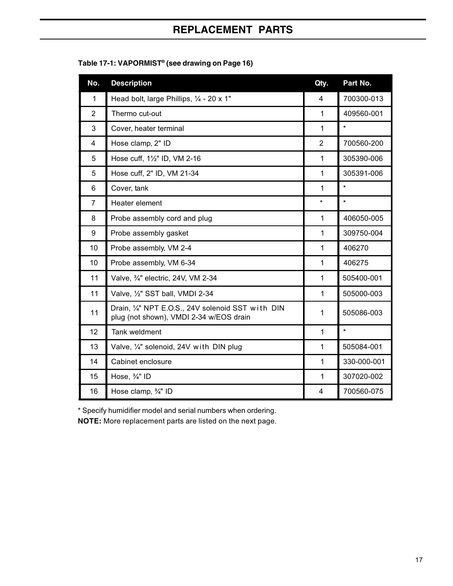| No.            | <b>Description</b>                                                                           | Qty.           | Part No.    |
|----------------|----------------------------------------------------------------------------------------------|----------------|-------------|
| 1              | Head bolt, large Phillips, 1/4 - 20 x 1"                                                     | 4              | 700300-013  |
| $\overline{2}$ | Thermo cut-out                                                                               | $\mathbf{1}$   | 409560-001  |
| 3              | Cover, heater terminal                                                                       | $\mathbf{1}$   | $\star$     |
| $\overline{4}$ | Hose clamp, 2" ID                                                                            | $\overline{2}$ | 700560-200  |
| 5              | Hose cuff, 11/2" ID, VM 2-16                                                                 | 1              | 305390-006  |
| 5              | Hose cuff, 2" ID, VM 21-34                                                                   | $\mathbf{1}$   | 305391-006  |
| 6              | Cover, tank                                                                                  | $\mathbf{1}$   | $\star$     |
| $\overline{7}$ | Heater element                                                                               | *              | $\star$     |
| 8              | Probe assembly cord and plug                                                                 | $\mathbf{1}$   | 406050-005  |
| 9              | Probe assembly gasket                                                                        | 1              | 309750-004  |
| 10             | Probe assembly, VM 2-4                                                                       | $\mathbf{1}$   | 406270      |
| 10             | Probe assembly, VM 6-34                                                                      | $\mathbf{1}$   | 406275      |
| 11             | Valve, 3/4" electric, 24V, VM 2-34                                                           | $\mathbf{1}$   | 505400-001  |
| 11             | Valve, 1/2" SST ball, VMDI 2-34                                                              | $\mathbf{1}$   | 505000-003  |
| 11             | Drain, 1/4" NPT E.O.S., 24V solenoid SST with DIN<br>plug (not shown), VMDI 2-34 w/EOS drain | $\mathbf{1}$   | 505086-003  |
| 12             | Tank weldment                                                                                | $\mathbf{1}$   | $\star$     |
| 13             | Valve, 1/4" solenoid, 24V with DIN plug                                                      | $\mathbf{1}$   | 505084-001  |
| 14             | Cabinet enclosure                                                                            | 1              | 330-000-001 |
| 15             | Hose, 3/4" ID                                                                                | $\mathbf{1}$   | 307020-002  |
| 16             | Hose clamp, $\frac{3}{4}$ " ID                                                               | 4              | 700560-075  |

| Table 17-1: VAPORMIST® (see drawing on Page 16) |  |  |
|-------------------------------------------------|--|--|
|-------------------------------------------------|--|--|

\* Specify humidifier model and serial numbers when ordering.

**NOTE:** More replacement parts are listed on the next page.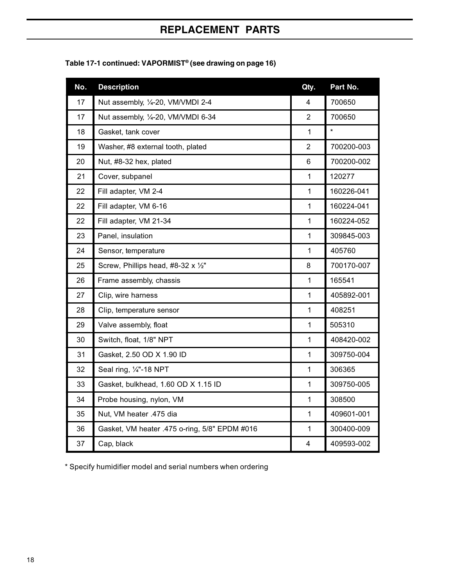| No. | <b>Description</b>                            | Qty.                    | Part No.   |
|-----|-----------------------------------------------|-------------------------|------------|
| 17  | Nut assembly, 1/4-20, VM/VMDI 2-4             | $\overline{\mathbf{4}}$ | 700650     |
| 17  | Nut assembly, 1/4-20, VM/VMDI 6-34            | $\overline{2}$          | 700650     |
| 18  | Gasket, tank cover                            | 1                       | $\star$    |
| 19  | Washer, #8 external tooth, plated             | $\overline{2}$          | 700200-003 |
| 20  | Nut, #8-32 hex, plated                        | 6                       | 700200-002 |
| 21  | Cover, subpanel                               | $\mathbf{1}$            | 120277     |
| 22  | Fill adapter, VM 2-4                          | $\mathbf{1}$            | 160226-041 |
| 22  | Fill adapter, VM 6-16                         | $\mathbf{1}$            | 160224-041 |
| 22  | Fill adapter, VM 21-34                        | 1                       | 160224-052 |
| 23  | Panel, insulation                             | 1                       | 309845-003 |
| 24  | Sensor, temperature                           | $\mathbf{1}$            | 405760     |
| 25  | Screw, Phillips head, #8-32 x 1/2"            | 8                       | 700170-007 |
| 26  | Frame assembly, chassis                       | 1                       | 165541     |
| 27  | Clip, wire harness                            | $\mathbf{1}$            | 405892-001 |
| 28  | Clip, temperature sensor                      | $\mathbf{1}$            | 408251     |
| 29  | Valve assembly, float                         | $\mathbf{1}$            | 505310     |
| 30  | Switch, float, 1/8" NPT                       | $\mathbf{1}$            | 408420-002 |
| 31  | Gasket, 2.50 OD X 1.90 ID                     | $\mathbf{1}$            | 309750-004 |
| 32  | Seal ring, 1/4"-18 NPT                        | 1                       | 306365     |
| 33  | Gasket, bulkhead, 1.60 OD X 1.15 ID           | $\mathbf{1}$            | 309750-005 |
| 34  | Probe housing, nylon, VM                      | $\mathbf{1}$            | 308500     |
| 35  | Nut, VM heater .475 dia                       | 1                       | 409601-001 |
| 36  | Gasket, VM heater .475 o-ring, 5/8" EPDM #016 | 1                       | 300400-009 |
| 37  | Cap, black                                    | 4                       | 409593-002 |

**Table 17-1 continued: VAPORMIST® (see drawing on page 16)**

\* Specify humidifier model and serial numbers when ordering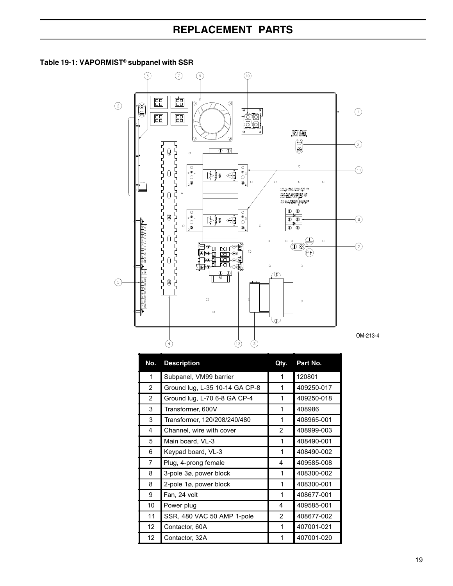#### **Table 19-1: VAPORMIST® subpanel with SSR**



| No.             | <b>Description</b>             | Qty.           | Part No.   |
|-----------------|--------------------------------|----------------|------------|
| 1               | Subpanel, VM99 barrier         | 1              | 120801     |
| $\overline{2}$  | Ground lug, L-35 10-14 GA CP-8 | 1              | 409250-017 |
| 2               | Ground lug, L-70 6-8 GA CP-4   | 1              | 409250-018 |
| 3               | Transformer, 600V              | 1              | 408986     |
| 3               | Transformer, 120/208/240/480   | 1              | 408965-001 |
| 4               | Channel, wire with cover       | $\overline{2}$ | 408999-003 |
| 5               | Main board, VL-3               | 1              | 408490-001 |
| 6               | Keypad board, VL-3             | 1              | 408490-002 |
| 7               | Plug, 4-prong female           | 4              | 409585-008 |
| 8               | 3-pole 3ø, power block         | 1              | 408300-002 |
| 8               | 2-pole 1ø, power block         | 1              | 408300-001 |
| 9               | Fan, 24 volt                   | 1              | 408677-001 |
| 10              | Power plug                     | 4              | 409585-001 |
| 11              | SSR, 480 VAC 50 AMP 1-pole     | $\overline{2}$ | 408677-002 |
| 12 <sup>2</sup> | Contactor, 60A                 | 1              | 407001-021 |
| 12              | Contactor, 32A                 |                | 407001-020 |